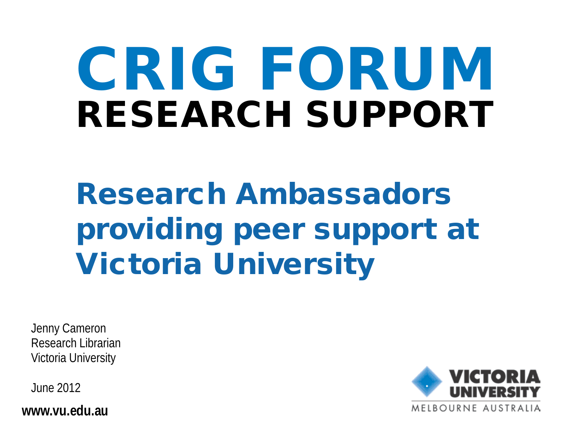# CRIG FORUM RESEARCH SUPPORT

Research Ambassadors providing peer support at Victoria University

Jenny Cameron Research Librarian Victoria University

June 2012

**www.vu.edu.au**

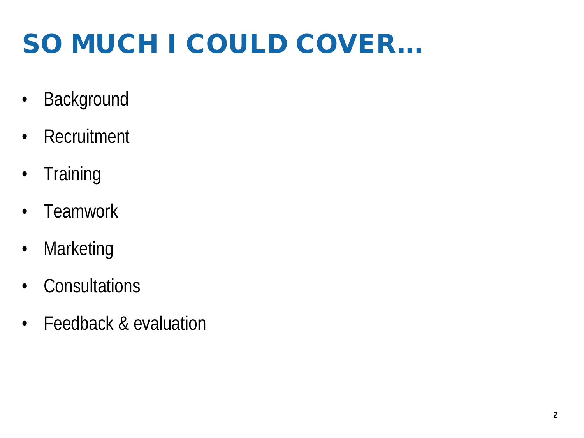# SO MUCH I COULD COVER...

- Background
- Recruitment
- Training
- Teamwork
- Marketing
- Consultations
- Feedback & evaluation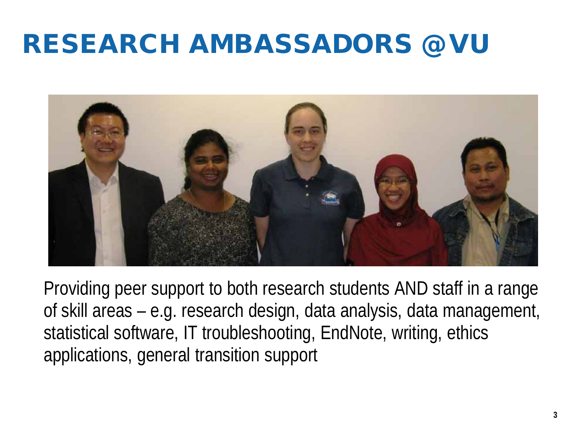#### RESEARCH AMBASSADORS @ VU



Providing peer support to both research students AND staff in a range of skill areas – e.g. research design, data analysis, data management, statistical software, IT troubleshooting, EndNote, writing, ethics applications, general transition support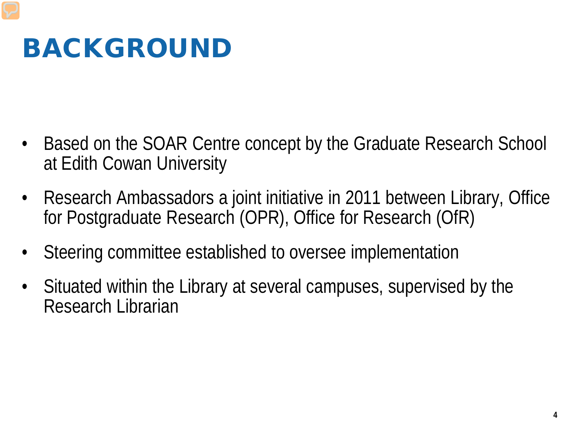#### BACKGROUND

- Based on the SOAR Centre concept by the Graduate Research School at Edith Cowan University
- Research Ambassadors a joint initiative in 2011 between Library, Office for Postgraduate Research (OPR), Office for Research (OfR)
- Steering committee established to oversee implementation
- Situated within the Library at several campuses, supervised by the Research Librarian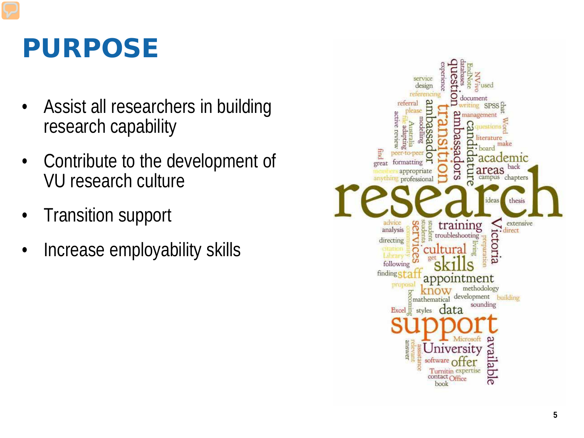#### PURPOSE

- Assist all researchers in building research capability
- Contribute to the development of VU research culture
- Transition support
- Increase employability skills

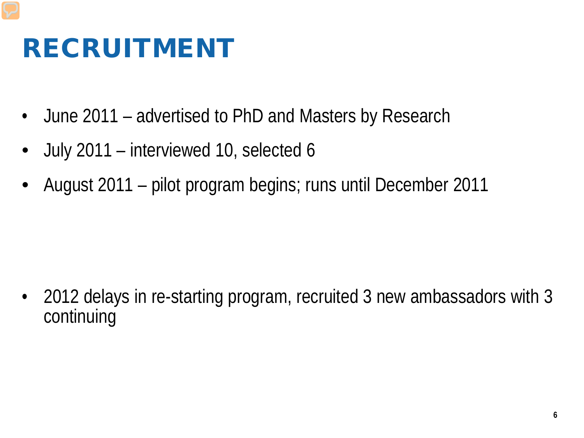#### RECRUITMENT

- June 2011 advertised to PhD and Masters by Research
- July 2011 interviewed 10, selected 6
- August 2011 pilot program begins; runs until December 2011

• 2012 delays in re-starting program, recruited 3 new ambassadors with 3 continuing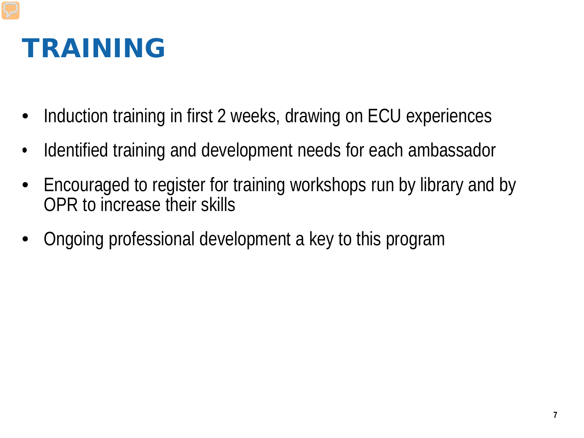#### TRAINING

- Induction training in first 2 weeks, drawing on ECU experiences
- Identified training and development needs for each ambassador
- Encouraged to register for training workshops run by library and by OPR to increase their skills
- Ongoing professional development a key to this program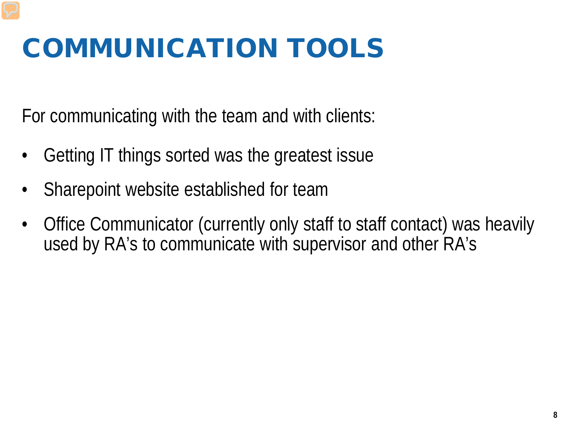# COMMUNICATION TOOLS

For communicating with the team and with clients:

- Getting IT things sorted was the greatest issue
- Sharepoint website established for team
- Office Communicator (currently only staff to staff contact) was heavily used by RA's to communicate with supervisor and other RA's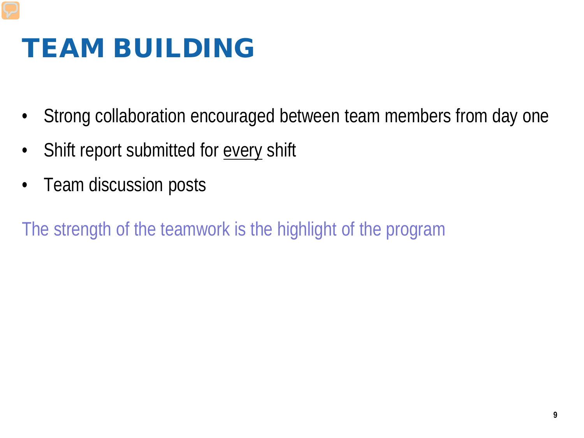#### TEAM BUILDING

- Strong collaboration encouraged between team members from day one
- Shift report submitted for every shift
- Team discussion posts

The strength of the teamwork is the highlight of the program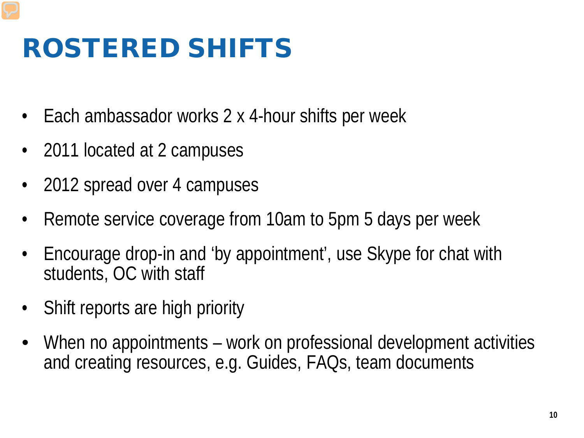#### ROSTERED SHIFTS

- Each ambassador works 2 x 4-hour shifts per week
- 2011 located at 2 campuses
- 2012 spread over 4 campuses
- Remote service coverage from 10am to 5pm 5 days per week
- Encourage drop-in and 'by appointment', use Skype for chat with students, OC with staff
- Shift reports are high priority
- When no appointments work on professional development activities and creating resources, e.g. Guides, FAQs, team documents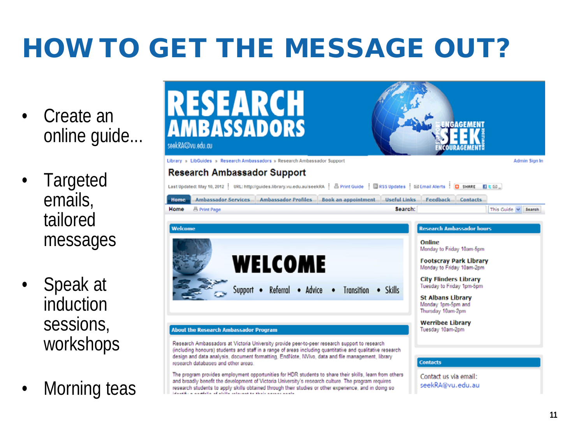# HOW TO GET THE MESSAGE OUT?

- Create an online guide...
- **Targeted** emails, tailored messages
- Speak at induction sessions, workshops
- Morning teas

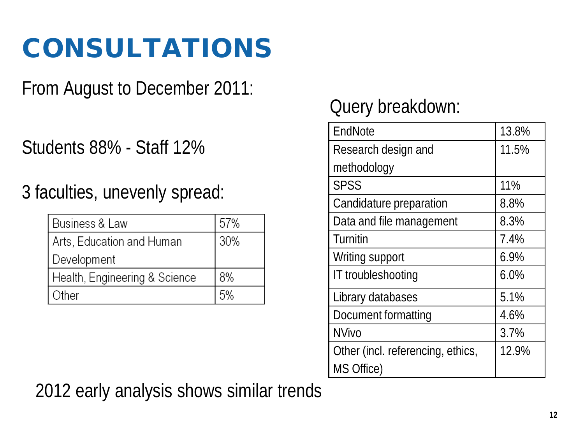## CONSULTATIONS

From August to December 2011:

Students 88% - Staff 12%

3 faculties, unevenly spread:

| Business & Law                | 57% |
|-------------------------------|-----|
| Arts, Education and Human     | 30% |
| Development                   |     |
| Health, Engineering & Science | 8%  |
| Other                         | 5%  |

#### Query breakdown:

| EndNote                           | 13.8% |
|-----------------------------------|-------|
| Research design and               | 11.5% |
| methodology                       |       |
| <b>SPSS</b>                       | 11%   |
| Candidature preparation           | 8.8%  |
| Data and file management          | 8.3%  |
| Turnitin                          | 7.4%  |
| Writing support                   | 6.9%  |
| IT troubleshooting                | 6.0%  |
| Library databases                 | 5.1%  |
| Document formatting               | 4.6%  |
| <b>NVivo</b>                      | 3.7%  |
| Other (incl. referencing, ethics, | 12.9% |
| MS Office)                        |       |

2012 early analysis shows similar trends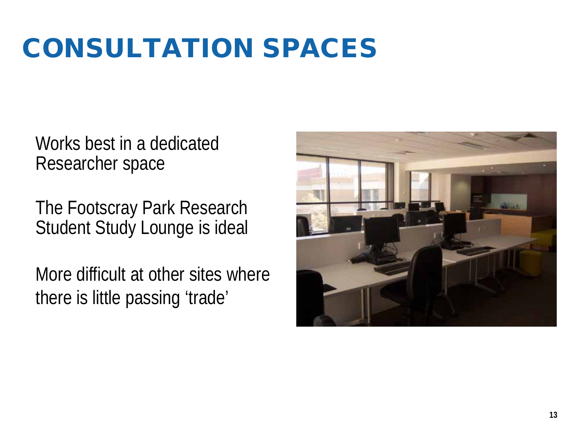#### CONSULTATION SPACES

Works best in a dedicated Researcher space

The Footscray Park Research Student Study Lounge is ideal

More difficult at other sites where there is little passing 'trade'

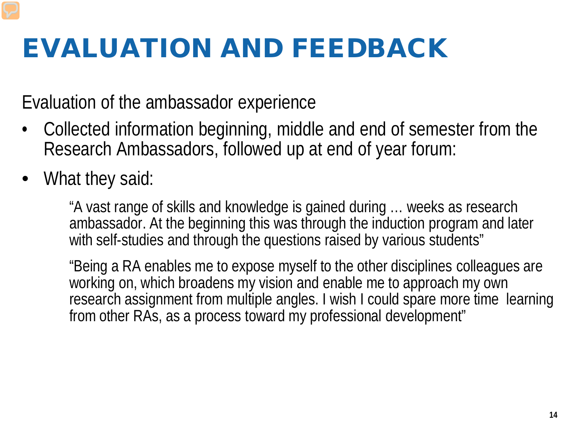#### EVALUATION AND FEEDBACK

Evaluation of the ambassador experience

- Collected information beginning, middle and end of semester from the Research Ambassadors, followed up at end of year forum:
- What they said:

"A vast range of skills and knowledge is gained during … weeks as research ambassador. At the beginning this was through the induction program and later with self-studies and through the questions raised by various students"

"Being a RA enables me to expose myself to the other disciplines colleagues are working on, which broadens my vision and enable me to approach my own research assignment from multiple angles. I wish I could spare more time learning from other RAs, as a process toward my professional development"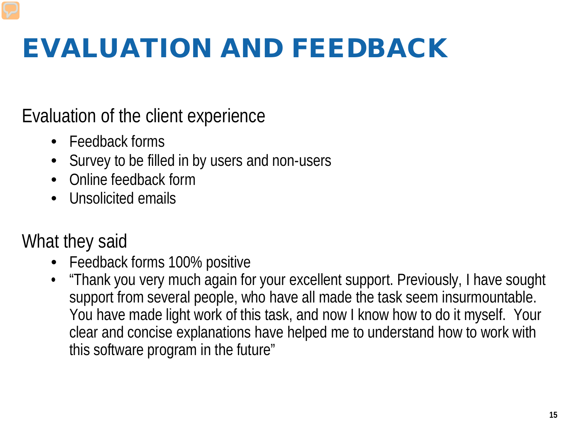## EVALUATION AND FEEDBACK

Evaluation of the client experience

- Feedback forms
- Survey to be filled in by users and non-users
- Online feedback form
- Unsolicited emails

#### What they said

- Feedback forms 100% positive
- "Thank you very much again for your excellent support. Previously, I have sought support from several people, who have all made the task seem insurmountable. You have made light work of this task, and now I know how to do it myself. Your clear and concise explanations have helped me to understand how to work with this software program in the future"